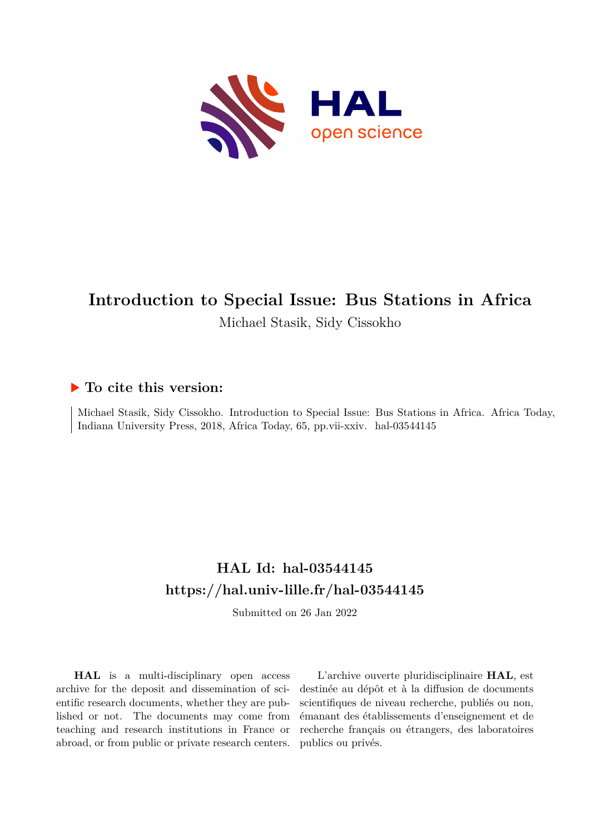

# **Introduction to Special Issue: Bus Stations in Africa** Michael Stasik, Sidy Cissokho

## **To cite this version:**

Michael Stasik, Sidy Cissokho. Introduction to Special Issue: Bus Stations in Africa. Africa Today, Indiana University Press, 2018, Africa Today, 65, pp.vii-xxiv. hal-03544145

# **HAL Id: hal-03544145 <https://hal.univ-lille.fr/hal-03544145>**

Submitted on 26 Jan 2022

**HAL** is a multi-disciplinary open access archive for the deposit and dissemination of scientific research documents, whether they are published or not. The documents may come from teaching and research institutions in France or abroad, or from public or private research centers.

L'archive ouverte pluridisciplinaire **HAL**, est destinée au dépôt et à la diffusion de documents scientifiques de niveau recherche, publiés ou non, émanant des établissements d'enseignement et de recherche français ou étrangers, des laboratoires publics ou privés.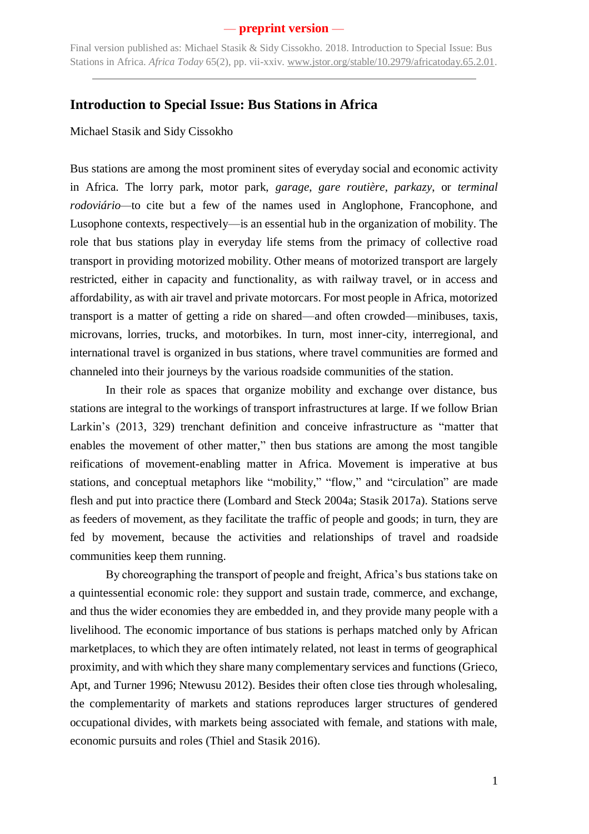Final version published as: Michael Stasik & Sidy Cissokho. 2018. Introduction to Special Issue: Bus Stations in Africa. *Africa Today* 65(2), pp. vii-xxiv. [www.jstor.org/stable/10.2979/africatoday.65.2.01.](http://www.jstor.org/stable/10.2979/africatoday.65.2.01)

### **Introduction to Special Issue: Bus Stations in Africa**

Michael Stasik and Sidy Cissokho

Bus stations are among the most prominent sites of everyday social and economic activity in Africa. The lorry park, motor park, *garage*, *gare routière*, *parkazy*, or *terminal rodoviário—*to cite but a few of the names used in Anglophone, Francophone, and Lusophone contexts, respectively—is an essential hub in the organization of mobility. The role that bus stations play in everyday life stems from the primacy of collective road transport in providing motorized mobility. Other means of motorized transport are largely restricted, either in capacity and functionality, as with railway travel, or in access and affordability, as with air travel and private motorcars. For most people in Africa, motorized transport is a matter of getting a ride on shared—and often crowded—minibuses, taxis, microvans, lorries, trucks, and motorbikes. In turn, most inner-city, interregional, and international travel is organized in bus stations, where travel communities are formed and channeled into their journeys by the various roadside communities of the station.

In their role as spaces that organize mobility and exchange over distance, bus stations are integral to the workings of transport infrastructures at large. If we follow Brian Larkin's (2013, 329) trenchant definition and conceive infrastructure as "matter that enables the movement of other matter," then bus stations are among the most tangible reifications of movement-enabling matter in Africa. Movement is imperative at bus stations, and conceptual metaphors like "mobility," "flow," and "circulation" are made flesh and put into practice there (Lombard and Steck 2004a; Stasik 2017a). Stations serve as feeders of movement, as they facilitate the traffic of people and goods; in turn, they are fed by movement, because the activities and relationships of travel and roadside communities keep them running.

By choreographing the transport of people and freight, Africa's bus stations take on a quintessential economic role: they support and sustain trade, commerce, and exchange, and thus the wider economies they are embedded in, and they provide many people with a livelihood. The economic importance of bus stations is perhaps matched only by African marketplaces, to which they are often intimately related, not least in terms of geographical proximity, and with which they share many complementary services and functions (Grieco, Apt, and Turner 1996; Ntewusu 2012). Besides their often close ties through wholesaling, the complementarity of markets and stations reproduces larger structures of gendered occupational divides, with markets being associated with female, and stations with male, economic pursuits and roles (Thiel and Stasik 2016).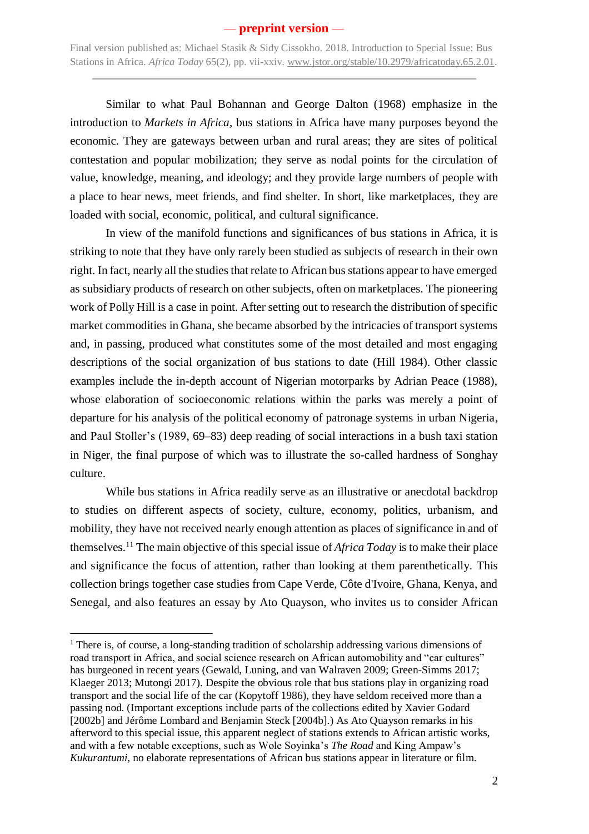Final version published as: Michael Stasik & Sidy Cissokho. 2018. Introduction to Special Issue: Bus Stations in Africa. *Africa Today* 65(2), pp. vii-xxiv. [www.jstor.org/stable/10.2979/africatoday.65.2.01.](http://www.jstor.org/stable/10.2979/africatoday.65.2.01)

Similar to what Paul Bohannan and George Dalton (1968) emphasize in the introduction to *Markets in Africa*, bus stations in Africa have many purposes beyond the economic. They are gateways between urban and rural areas; they are sites of political contestation and popular mobilization; they serve as nodal points for the circulation of value, knowledge, meaning, and ideology; and they provide large numbers of people with a place to hear news, meet friends, and find shelter. In short, like marketplaces, they are loaded with social, economic, political, and cultural significance.

In view of the manifold functions and significances of bus stations in Africa, it is striking to note that they have only rarely been studied as subjects of research in their own right. In fact, nearly all the studies that relate to African bus stations appear to have emerged as subsidiary products of research on other subjects, often on marketplaces. The pioneering work of Polly Hill is a case in point. After setting out to research the distribution of specific market commodities in Ghana, she became absorbed by the intricacies of transport systems and, in passing, produced what constitutes some of the most detailed and most engaging descriptions of the social organization of bus stations to date (Hill 1984). Other classic examples include the in-depth account of Nigerian motorparks by Adrian Peace (1988), whose elaboration of socioeconomic relations within the parks was merely a point of departure for his analysis of the political economy of patronage systems in urban Nigeria, and Paul Stoller's (1989, 69–83) deep reading of social interactions in a bush taxi station in Niger, the final purpose of which was to illustrate the so-called hardness of Songhay culture.

While bus stations in Africa readily serve as an illustrative or anecdotal backdrop to studies on different aspects of society, culture, economy, politics, urbanism, and mobility, they have not received nearly enough attention as places of significance in and of themselves.<sup>11</sup> The main objective of this special issue of *Africa Today* is to make their place and significance the focus of attention, rather than looking at them parenthetically. This collection brings together case studies from Cape Verde, Côte d'Ivoire, Ghana, Kenya, and Senegal, and also features an essay by Ato Quayson, who invites us to consider African

-

<sup>&</sup>lt;sup>1</sup> There is, of course, a long-standing tradition of scholarship addressing various dimensions of road transport in Africa, and social science research on African automobility and "car cultures" has burgeoned in recent years (Gewald, Luning, and van Walraven 2009; Green-Simms 2017; Klaeger 2013; Mutongi 2017). Despite the obvious role that bus stations play in organizing road transport and the social life of the car (Kopytoff 1986), they have seldom received more than a passing nod. (Important exceptions include parts of the collections edited by Xavier Godard [2002b] and Jérôme Lombard and Benjamin Steck [2004b].) As Ato Quayson remarks in his afterword to this special issue, this apparent neglect of stations extends to African artistic works, and with a few notable exceptions, such as Wole Soyinka's *The Road* and King Ampaw's *Kukurantumi*, no elaborate representations of African bus stations appear in literature or film.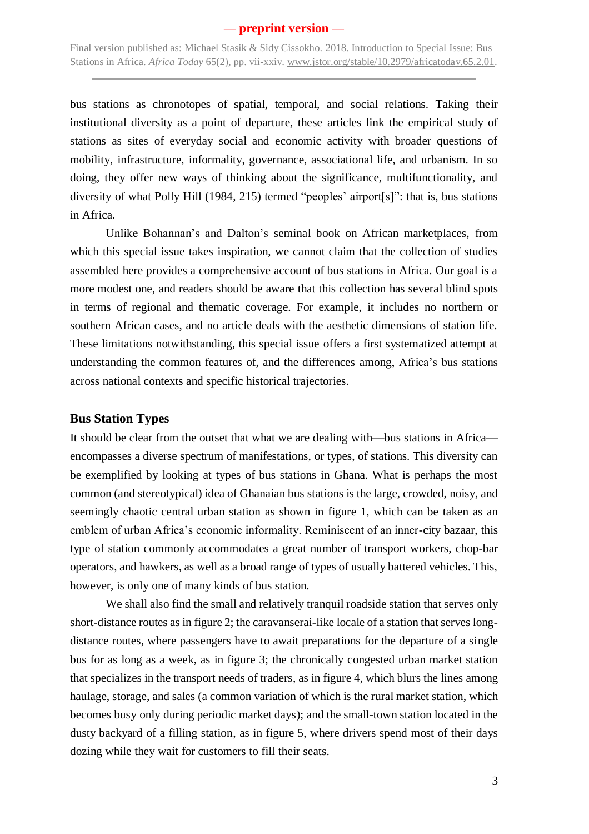Final version published as: Michael Stasik & Sidy Cissokho. 2018. Introduction to Special Issue: Bus Stations in Africa. *Africa Today* 65(2), pp. vii-xxiv. [www.jstor.org/stable/10.2979/africatoday.65.2.01.](http://www.jstor.org/stable/10.2979/africatoday.65.2.01)

bus stations as chronotopes of spatial, temporal, and social relations. Taking their institutional diversity as a point of departure, these articles link the empirical study of stations as sites of everyday social and economic activity with broader questions of mobility, infrastructure, informality, governance, associational life, and urbanism. In so doing, they offer new ways of thinking about the significance, multifunctionality, and diversity of what Polly Hill (1984, 215) termed "peoples' airport[s]": that is, bus stations in Africa.

Unlike Bohannan's and Dalton's seminal book on African marketplaces, from which this special issue takes inspiration, we cannot claim that the collection of studies assembled here provides a comprehensive account of bus stations in Africa. Our goal is a more modest one, and readers should be aware that this collection has several blind spots in terms of regional and thematic coverage. For example, it includes no northern or southern African cases, and no article deals with the aesthetic dimensions of station life. These limitations notwithstanding, this special issue offers a first systematized attempt at understanding the common features of, and the differences among, Africa's bus stations across national contexts and specific historical trajectories.

### **Bus Station Types**

It should be clear from the outset that what we are dealing with—bus stations in Africa encompasses a diverse spectrum of manifestations, or types, of stations. This diversity can be exemplified by looking at types of bus stations in Ghana. What is perhaps the most common (and stereotypical) idea of Ghanaian bus stations is the large, crowded, noisy, and seemingly chaotic central urban station as shown in figure 1, which can be taken as an emblem of urban Africa's economic informality. Reminiscent of an inner-city bazaar, this type of station commonly accommodates a great number of transport workers, chop-bar operators, and hawkers, as well as a broad range of types of usually battered vehicles. This, however, is only one of many kinds of bus station.

We shall also find the small and relatively tranquil roadside station that serves only short-distance routes as in figure 2; the caravanserai-like locale of a station that serves longdistance routes, where passengers have to await preparations for the departure of a single bus for as long as a week, as in figure 3; the chronically congested urban market station that specializes in the transport needs of traders, as in figure 4, which blurs the lines among haulage, storage, and sales (a common variation of which is the rural market station, which becomes busy only during periodic market days); and the small-town station located in the dusty backyard of a filling station, as in figure 5, where drivers spend most of their days dozing while they wait for customers to fill their seats.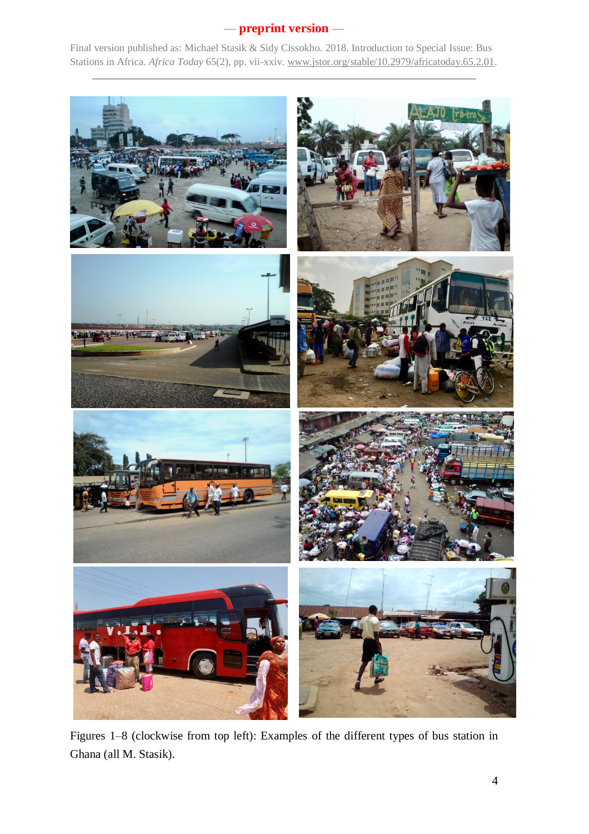

Figures 1–8 (clockwise from top left): Examples of the different types of bus station in Ghana (all M. Stasik).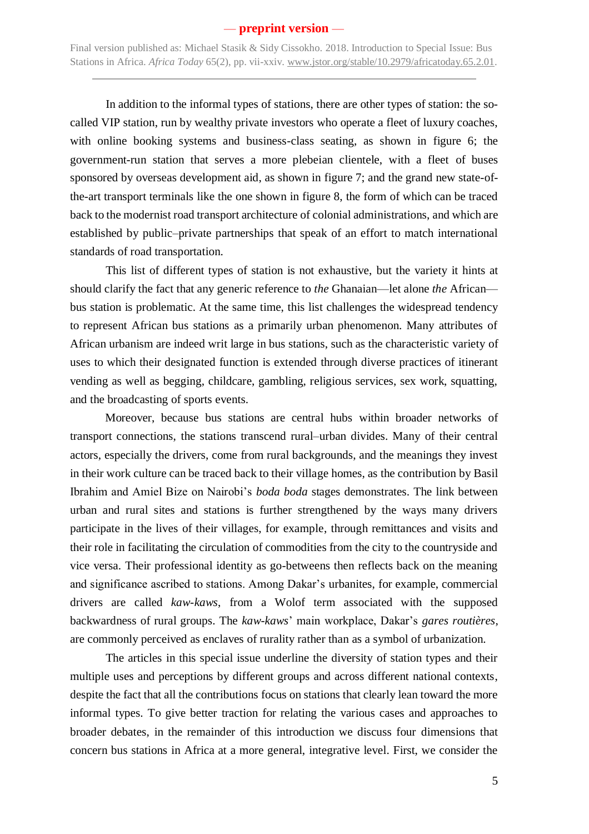Final version published as: Michael Stasik & Sidy Cissokho. 2018. Introduction to Special Issue: Bus Stations in Africa. *Africa Today* 65(2), pp. vii-xxiv. [www.jstor.org/stable/10.2979/africatoday.65.2.01.](http://www.jstor.org/stable/10.2979/africatoday.65.2.01)

In addition to the informal types of stations, there are other types of station: the socalled VIP station, run by wealthy private investors who operate a fleet of luxury coaches, with online booking systems and business-class seating, as shown in figure 6; the government-run station that serves a more plebeian clientele, with a fleet of buses sponsored by overseas development aid, as shown in figure 7; and the grand new state-ofthe-art transport terminals like the one shown in figure 8, the form of which can be traced back to the modernist road transport architecture of colonial administrations, and which are established by public–private partnerships that speak of an effort to match international standards of road transportation.

This list of different types of station is not exhaustive, but the variety it hints at should clarify the fact that any generic reference to *the* Ghanaian—let alone *the* African bus station is problematic. At the same time, this list challenges the widespread tendency to represent African bus stations as a primarily urban phenomenon. Many attributes of African urbanism are indeed writ large in bus stations, such as the characteristic variety of uses to which their designated function is extended through diverse practices of itinerant vending as well as begging, childcare, gambling, religious services, sex work, squatting, and the broadcasting of sports events.

Moreover, because bus stations are central hubs within broader networks of transport connections, the stations transcend rural–urban divides. Many of their central actors, especially the drivers, come from rural backgrounds, and the meanings they invest in their work culture can be traced back to their village homes, as the contribution by Basil Ibrahim and Amiel Bize on Nairobi's *boda boda* stages demonstrates. The link between urban and rural sites and stations is further strengthened by the ways many drivers participate in the lives of their villages, for example, through remittances and visits and their role in facilitating the circulation of commodities from the city to the countryside and vice versa. Their professional identity as go-betweens then reflects back on the meaning and significance ascribed to stations. Among Dakar's urbanites, for example, commercial drivers are called *kaw-kaws*, from a Wolof term associated with the supposed backwardness of rural groups. The *kaw-kaws*' main workplace, Dakar's *gares routières*, are commonly perceived as enclaves of rurality rather than as a symbol of urbanization.

The articles in this special issue underline the diversity of station types and their multiple uses and perceptions by different groups and across different national contexts, despite the fact that all the contributions focus on stations that clearly lean toward the more informal types. To give better traction for relating the various cases and approaches to broader debates, in the remainder of this introduction we discuss four dimensions that concern bus stations in Africa at a more general, integrative level. First, we consider the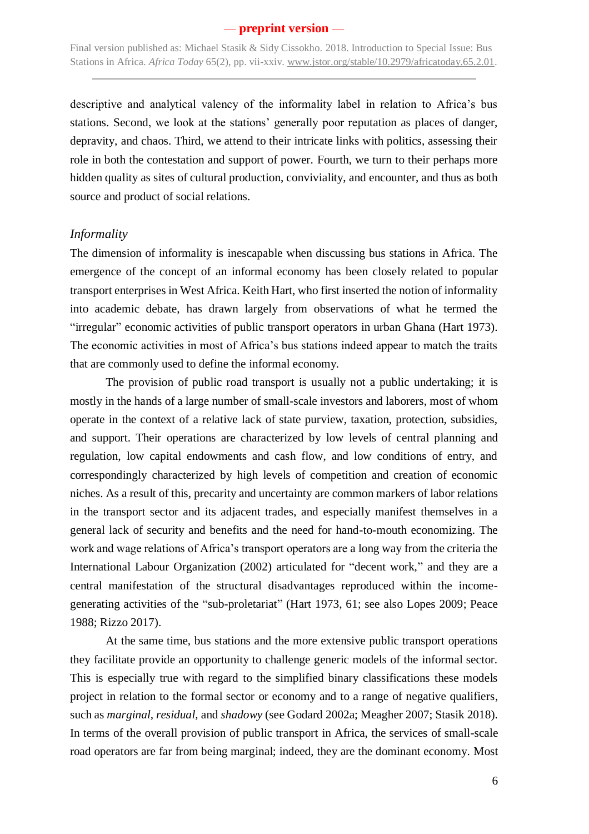Final version published as: Michael Stasik & Sidy Cissokho. 2018. Introduction to Special Issue: Bus Stations in Africa. *Africa Today* 65(2), pp. vii-xxiv. [www.jstor.org/stable/10.2979/africatoday.65.2.01.](http://www.jstor.org/stable/10.2979/africatoday.65.2.01)

descriptive and analytical valency of the informality label in relation to Africa's bus stations. Second, we look at the stations' generally poor reputation as places of danger, depravity, and chaos. Third, we attend to their intricate links with politics, assessing their role in both the contestation and support of power. Fourth, we turn to their perhaps more hidden quality as sites of cultural production, conviviality, and encounter, and thus as both source and product of social relations.

#### *Informality*

The dimension of informality is inescapable when discussing bus stations in Africa. The emergence of the concept of an informal economy has been closely related to popular transport enterprises in West Africa. Keith Hart, who first inserted the notion of informality into academic debate, has drawn largely from observations of what he termed the "irregular" economic activities of public transport operators in urban Ghana (Hart 1973). The economic activities in most of Africa's bus stations indeed appear to match the traits that are commonly used to define the informal economy.

The provision of public road transport is usually not a public undertaking; it is mostly in the hands of a large number of small-scale investors and laborers, most of whom operate in the context of a relative lack of state purview, taxation, protection, subsidies, and support. Their operations are characterized by low levels of central planning and regulation, low capital endowments and cash flow, and low conditions of entry, and correspondingly characterized by high levels of competition and creation of economic niches. As a result of this, precarity and uncertainty are common markers of labor relations in the transport sector and its adjacent trades, and especially manifest themselves in a general lack of security and benefits and the need for hand-to-mouth economizing. The work and wage relations of Africa's transport operators are a long way from the criteria the International Labour Organization (2002) articulated for "decent work," and they are a central manifestation of the structural disadvantages reproduced within the incomegenerating activities of the "sub-proletariat" (Hart 1973, 61; see also Lopes 2009; Peace 1988; Rizzo 2017).

At the same time, bus stations and the more extensive public transport operations they facilitate provide an opportunity to challenge generic models of the informal sector. This is especially true with regard to the simplified binary classifications these models project in relation to the formal sector or economy and to a range of negative qualifiers, such as *marginal, residual,* and *shadowy* (see Godard 2002a; Meagher 2007; Stasik 2018). In terms of the overall provision of public transport in Africa, the services of small-scale road operators are far from being marginal; indeed, they are the dominant economy. Most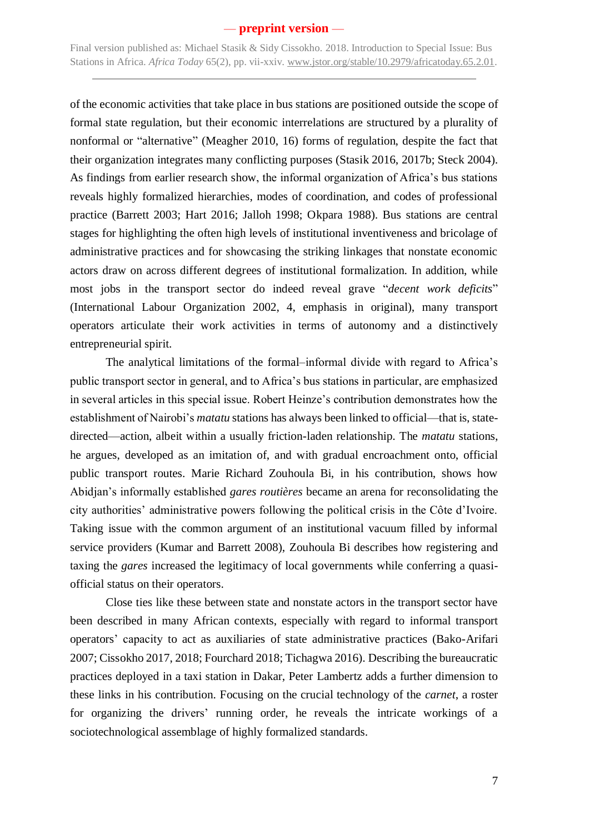Final version published as: Michael Stasik & Sidy Cissokho. 2018. Introduction to Special Issue: Bus Stations in Africa. *Africa Today* 65(2), pp. vii-xxiv. [www.jstor.org/stable/10.2979/africatoday.65.2.01.](http://www.jstor.org/stable/10.2979/africatoday.65.2.01)

of the economic activities that take place in bus stations are positioned outside the scope of formal state regulation, but their economic interrelations are structured by a plurality of nonformal or "alternative" (Meagher 2010, 16) forms of regulation, despite the fact that their organization integrates many conflicting purposes (Stasik 2016, 2017b; Steck 2004). As findings from earlier research show, the informal organization of Africa's bus stations reveals highly formalized hierarchies, modes of coordination, and codes of professional practice (Barrett 2003; Hart 2016; Jalloh 1998; Okpara 1988). Bus stations are central stages for highlighting the often high levels of institutional inventiveness and bricolage of administrative practices and for showcasing the striking linkages that nonstate economic actors draw on across different degrees of institutional formalization. In addition, while most jobs in the transport sector do indeed reveal grave "*decent work deficits*" (International Labour Organization 2002, 4, emphasis in original), many transport operators articulate their work activities in terms of autonomy and a distinctively entrepreneurial spirit.

The analytical limitations of the formal–informal divide with regard to Africa's public transport sector in general, and to Africa's bus stations in particular, are emphasized in several articles in this special issue. Robert Heinze's contribution demonstrates how the establishment of Nairobi's *matatu* stations has always been linked to official—that is, statedirected—action, albeit within a usually friction-laden relationship. The *matatu* stations, he argues, developed as an imitation of, and with gradual encroachment onto, official public transport routes. Marie Richard Zouhoula Bi, in his contribution, shows how Abidjan's informally established *gares routières* became an arena for reconsolidating the city authorities' administrative powers following the political crisis in the Côte d'Ivoire. Taking issue with the common argument of an institutional vacuum filled by informal service providers (Kumar and Barrett 2008), Zouhoula Bi describes how registering and taxing the *gares* increased the legitimacy of local governments while conferring a quasiofficial status on their operators.

Close ties like these between state and nonstate actors in the transport sector have been described in many African contexts, especially with regard to informal transport operators' capacity to act as auxiliaries of state administrative practices (Bako-Arifari 2007; Cissokho 2017, 2018; Fourchard 2018; Tichagwa 2016). Describing the bureaucratic practices deployed in a taxi station in Dakar, Peter Lambertz adds a further dimension to these links in his contribution. Focusing on the crucial technology of the *carnet*, a roster for organizing the drivers' running order, he reveals the intricate workings of a sociotechnological assemblage of highly formalized standards.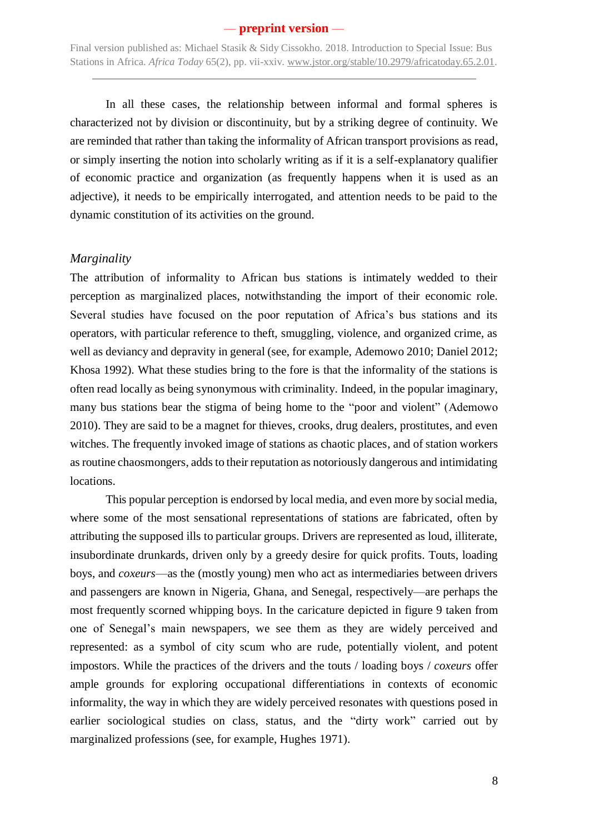In all these cases, the relationship between informal and formal spheres is characterized not by division or discontinuity, but by a striking degree of continuity. We are reminded that rather than taking the informality of African transport provisions as read, or simply inserting the notion into scholarly writing as if it is a self-explanatory qualifier of economic practice and organization (as frequently happens when it is used as an adjective), it needs to be empirically interrogated, and attention needs to be paid to the dynamic constitution of its activities on the ground.

#### *Marginality*

The attribution of informality to African bus stations is intimately wedded to their perception as marginalized places, notwithstanding the import of their economic role. Several studies have focused on the poor reputation of Africa's bus stations and its operators, with particular reference to theft, smuggling, violence, and organized crime, as well as deviancy and depravity in general (see, for example, Ademowo 2010; Daniel 2012; Khosa 1992). What these studies bring to the fore is that the informality of the stations is often read locally as being synonymous with criminality. Indeed, in the popular imaginary, many bus stations bear the stigma of being home to the "poor and violent" (Ademowo 2010). They are said to be a magnet for thieves, crooks, drug dealers, prostitutes, and even witches. The frequently invoked image of stations as chaotic places, and of station workers as routine chaosmongers, adds to their reputation as notoriously dangerous and intimidating locations.

This popular perception is endorsed by local media, and even more by social media, where some of the most sensational representations of stations are fabricated, often by attributing the supposed ills to particular groups. Drivers are represented as loud, illiterate, insubordinate drunkards, driven only by a greedy desire for quick profits. Touts, loading boys, and *coxeurs*—as the (mostly young) men who act as intermediaries between drivers and passengers are known in Nigeria, Ghana, and Senegal, respectively—are perhaps the most frequently scorned whipping boys. In the caricature depicted in figure 9 taken from one of Senegal's main newspapers, we see them as they are widely perceived and represented: as a symbol of city scum who are rude, potentially violent, and potent impostors. While the practices of the drivers and the touts / loading boys / *coxeurs* offer ample grounds for exploring occupational differentiations in contexts of economic informality, the way in which they are widely perceived resonates with questions posed in earlier sociological studies on class, status, and the "dirty work" carried out by marginalized professions (see, for example, Hughes 1971).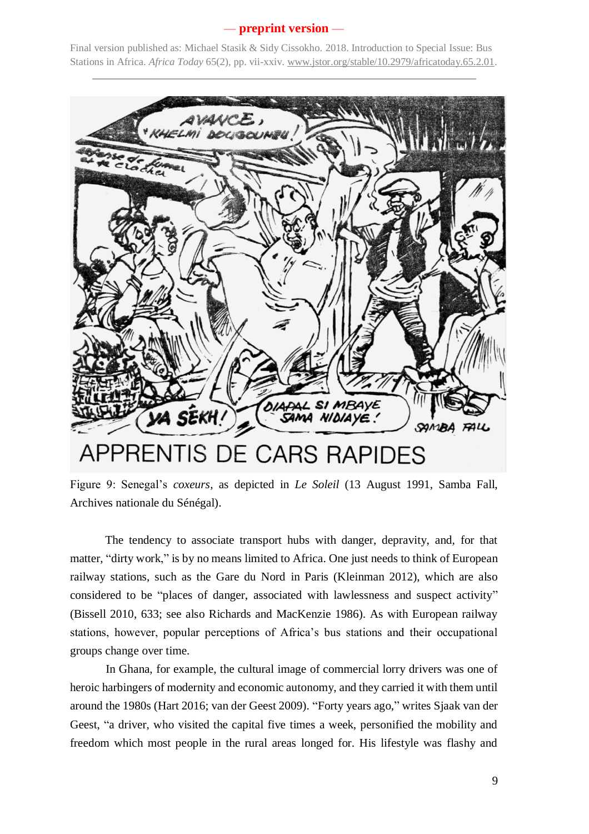Final version published as: Michael Stasik & Sidy Cissokho. 2018. Introduction to Special Issue: Bus Stations in Africa. *Africa Today* 65(2), pp. vii-xxiv. [www.jstor.org/stable/10.2979/africatoday.65.2.01.](http://www.jstor.org/stable/10.2979/africatoday.65.2.01)



Figure 9: Senegal's *coxeurs*, as depicted in *Le Soleil* (13 August 1991, Samba Fall, Archives nationale du Sénégal).

The tendency to associate transport hubs with danger, depravity, and, for that matter, "dirty work," is by no means limited to Africa. One just needs to think of European railway stations, such as the Gare du Nord in Paris (Kleinman 2012), which are also considered to be "places of danger, associated with lawlessness and suspect activity" (Bissell 2010, 633; see also Richards and MacKenzie 1986). As with European railway stations, however, popular perceptions of Africa's bus stations and their occupational groups change over time.

In Ghana, for example, the cultural image of commercial lorry drivers was one of heroic harbingers of modernity and economic autonomy, and they carried it with them until around the 1980s (Hart 2016; van der Geest 2009). "Forty years ago," writes Sjaak van der Geest, "a driver, who visited the capital five times a week, personified the mobility and freedom which most people in the rural areas longed for. His lifestyle was flashy and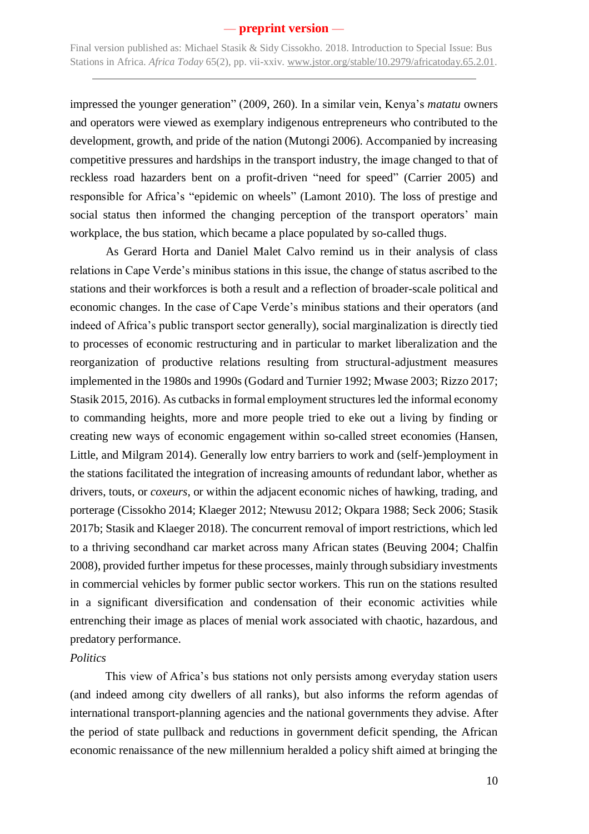Final version published as: Michael Stasik & Sidy Cissokho. 2018. Introduction to Special Issue: Bus Stations in Africa. *Africa Today* 65(2), pp. vii-xxiv. [www.jstor.org/stable/10.2979/africatoday.65.2.01.](http://www.jstor.org/stable/10.2979/africatoday.65.2.01)

impressed the younger generation" (2009, 260). In a similar vein, Kenya's *matatu* owners and operators were viewed as exemplary indigenous entrepreneurs who contributed to the development, growth, and pride of the nation (Mutongi 2006). Accompanied by increasing competitive pressures and hardships in the transport industry, the image changed to that of reckless road hazarders bent on a profit-driven "need for speed" (Carrier 2005) and responsible for Africa's "epidemic on wheels" (Lamont 2010). The loss of prestige and social status then informed the changing perception of the transport operators' main workplace, the bus station, which became a place populated by so-called thugs.

As Gerard Horta and Daniel Malet Calvo remind us in their analysis of class relations in Cape Verde's minibus stations in this issue, the change of status ascribed to the stations and their workforces is both a result and a reflection of broader-scale political and economic changes. In the case of Cape Verde's minibus stations and their operators (and indeed of Africa's public transport sector generally), social marginalization is directly tied to processes of economic restructuring and in particular to market liberalization and the reorganization of productive relations resulting from structural-adjustment measures implemented in the 1980s and 1990s (Godard and Turnier 1992; Mwase 2003; Rizzo 2017; Stasik 2015, 2016). As cutbacks in formal employment structures led the informal economy to commanding heights, more and more people tried to eke out a living by finding or creating new ways of economic engagement within so-called street economies (Hansen, Little, and Milgram 2014). Generally low entry barriers to work and (self-)employment in the stations facilitated the integration of increasing amounts of redundant labor, whether as drivers, touts, or *coxeurs*, or within the adjacent economic niches of hawking, trading, and porterage (Cissokho 2014; Klaeger 2012; Ntewusu 2012; Okpara 1988; Seck 2006; Stasik 2017b; Stasik and Klaeger 2018). The concurrent removal of import restrictions, which led to a thriving secondhand car market across many African states (Beuving 2004; Chalfin 2008), provided further impetus for these processes, mainly through subsidiary investments in commercial vehicles by former public sector workers. This run on the stations resulted in a significant diversification and condensation of their economic activities while entrenching their image as places of menial work associated with chaotic, hazardous, and predatory performance.

#### *Politics*

This view of Africa's bus stations not only persists among everyday station users (and indeed among city dwellers of all ranks), but also informs the reform agendas of international transport-planning agencies and the national governments they advise. After the period of state pullback and reductions in government deficit spending, the African economic renaissance of the new millennium heralded a policy shift aimed at bringing the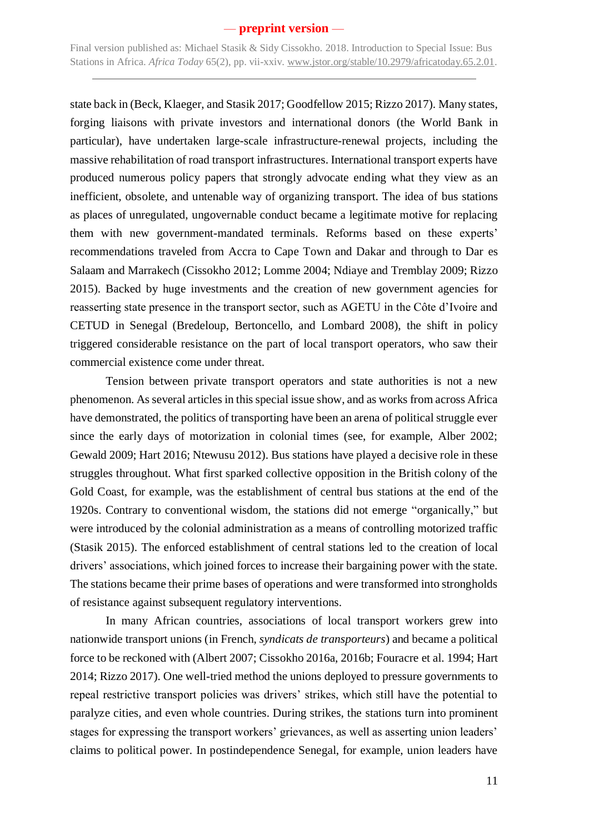Final version published as: Michael Stasik & Sidy Cissokho. 2018. Introduction to Special Issue: Bus Stations in Africa. *Africa Today* 65(2), pp. vii-xxiv. [www.jstor.org/stable/10.2979/africatoday.65.2.01.](http://www.jstor.org/stable/10.2979/africatoday.65.2.01)

state back in (Beck, Klaeger, and Stasik 2017; Goodfellow 2015; Rizzo 2017). Many states, forging liaisons with private investors and international donors (the World Bank in particular), have undertaken large-scale infrastructure-renewal projects, including the massive rehabilitation of road transport infrastructures. International transport experts have produced numerous policy papers that strongly advocate ending what they view as an inefficient, obsolete, and untenable way of organizing transport. The idea of bus stations as places of unregulated, ungovernable conduct became a legitimate motive for replacing them with new government-mandated terminals. Reforms based on these experts' recommendations traveled from Accra to Cape Town and Dakar and through to Dar es Salaam and Marrakech (Cissokho 2012; Lomme 2004; Ndiaye and Tremblay 2009; Rizzo 2015). Backed by huge investments and the creation of new government agencies for reasserting state presence in the transport sector, such as AGETU in the Côte d'Ivoire and CETUD in Senegal (Bredeloup, Bertoncello, and Lombard 2008), the shift in policy triggered considerable resistance on the part of local transport operators, who saw their commercial existence come under threat.

Tension between private transport operators and state authorities is not a new phenomenon. As several articles in this special issue show, and as works from across Africa have demonstrated, the politics of transporting have been an arena of political struggle ever since the early days of motorization in colonial times (see, for example, Alber 2002; Gewald 2009; Hart 2016; Ntewusu 2012). Bus stations have played a decisive role in these struggles throughout. What first sparked collective opposition in the British colony of the Gold Coast, for example, was the establishment of central bus stations at the end of the 1920s. Contrary to conventional wisdom, the stations did not emerge "organically," but were introduced by the colonial administration as a means of controlling motorized traffic (Stasik 2015). The enforced establishment of central stations led to the creation of local drivers' associations, which joined forces to increase their bargaining power with the state. The stations became their prime bases of operations and were transformed into strongholds of resistance against subsequent regulatory interventions.

In many African countries, associations of local transport workers grew into nationwide transport unions (in French, *syndicats de transporteurs*) and became a political force to be reckoned with (Albert 2007; Cissokho 2016a, 2016b; Fouracre et al. 1994; Hart 2014; Rizzo 2017). One well-tried method the unions deployed to pressure governments to repeal restrictive transport policies was drivers' strikes, which still have the potential to paralyze cities, and even whole countries. During strikes, the stations turn into prominent stages for expressing the transport workers' grievances, as well as asserting union leaders' claims to political power. In postindependence Senegal, for example, union leaders have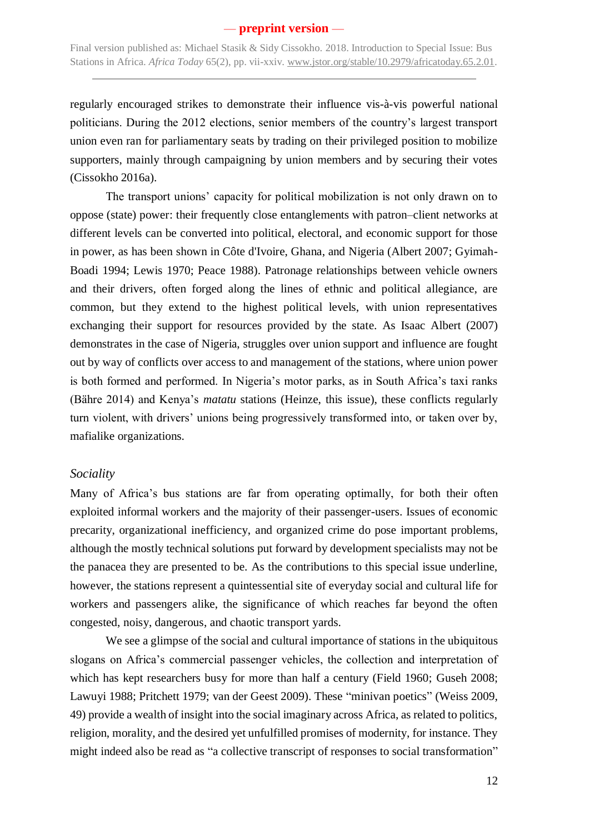regularly encouraged strikes to demonstrate their influence vis-à-vis powerful national politicians. During the 2012 elections, senior members of the country's largest transport union even ran for parliamentary seats by trading on their privileged position to mobilize supporters, mainly through campaigning by union members and by securing their votes (Cissokho 2016a).

The transport unions' capacity for political mobilization is not only drawn on to oppose (state) power: their frequently close entanglements with patron–client networks at different levels can be converted into political, electoral, and economic support for those in power, as has been shown in Côte d'Ivoire, Ghana, and Nigeria (Albert 2007; Gyimah-Boadi 1994; Lewis 1970; Peace 1988). Patronage relationships between vehicle owners and their drivers, often forged along the lines of ethnic and political allegiance, are common, but they extend to the highest political levels, with union representatives exchanging their support for resources provided by the state. As Isaac Albert (2007) demonstrates in the case of Nigeria, struggles over union support and influence are fought out by way of conflicts over access to and management of the stations, where union power is both formed and performed. In Nigeria's motor parks, as in South Africa's taxi ranks (Bähre 2014) and Kenya's *matatu* stations (Heinze, this issue), these conflicts regularly turn violent, with drivers' unions being progressively transformed into, or taken over by, mafialike organizations.

#### *Sociality*

Many of Africa's bus stations are far from operating optimally, for both their often exploited informal workers and the majority of their passenger-users. Issues of economic precarity, organizational inefficiency, and organized crime do pose important problems, although the mostly technical solutions put forward by development specialists may not be the panacea they are presented to be. As the contributions to this special issue underline, however, the stations represent a quintessential site of everyday social and cultural life for workers and passengers alike, the significance of which reaches far beyond the often congested, noisy, dangerous, and chaotic transport yards.

We see a glimpse of the social and cultural importance of stations in the ubiquitous slogans on Africa's commercial passenger vehicles, the collection and interpretation of which has kept researchers busy for more than half a century (Field 1960; Guseh 2008; Lawuyi 1988; Pritchett 1979; van der Geest 2009). These "minivan poetics" (Weiss 2009, 49) provide a wealth of insight into the social imaginary across Africa, as related to politics, religion, morality, and the desired yet unfulfilled promises of modernity, for instance. They might indeed also be read as "a collective transcript of responses to social transformation"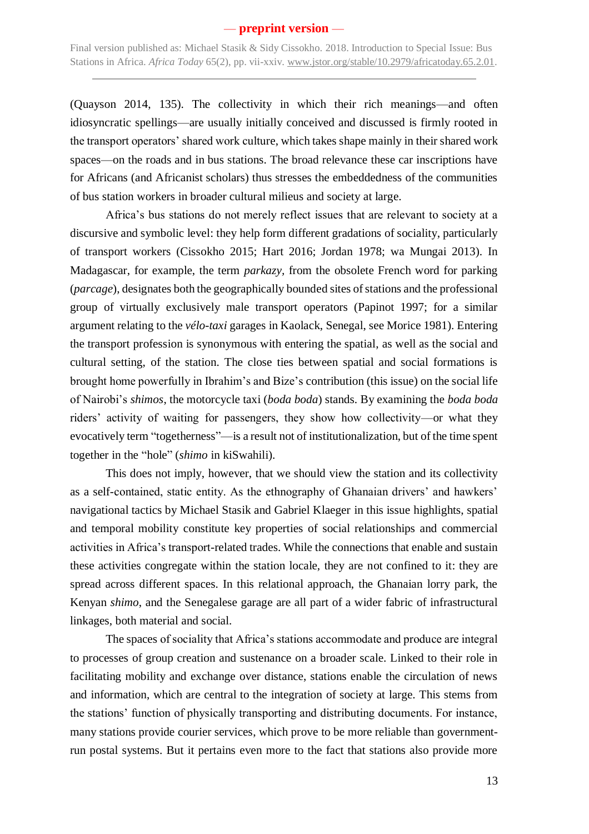(Quayson 2014, 135). The collectivity in which their rich meanings—and often idiosyncratic spellings—are usually initially conceived and discussed is firmly rooted in the transport operators' shared work culture, which takes shape mainly in their shared work spaces—on the roads and in bus stations. The broad relevance these car inscriptions have for Africans (and Africanist scholars) thus stresses the embeddedness of the communities of bus station workers in broader cultural milieus and society at large.

Africa's bus stations do not merely reflect issues that are relevant to society at a discursive and symbolic level: they help form different gradations of sociality, particularly of transport workers (Cissokho 2015; Hart 2016; Jordan 1978; wa Mungai 2013). In Madagascar, for example, the term *parkazy,* from the obsolete French word for parking (*parcage*), designates both the geographically bounded sites of stations and the professional group of virtually exclusively male transport operators (Papinot 1997; for a similar argument relating to the *vélo-taxi* garages in Kaolack, Senegal, see Morice 1981). Entering the transport profession is synonymous with entering the spatial, as well as the social and cultural setting, of the station. The close ties between spatial and social formations is brought home powerfully in Ibrahim's and Bize's contribution (this issue) on the social life of Nairobi's *shimos*, the motorcycle taxi (*boda boda*) stands. By examining the *boda boda* riders' activity of waiting for passengers, they show how collectivity—or what they evocatively term "togetherness"—is a result not of institutionalization, but of the time spent together in the "hole" (*shimo* in kiSwahili).

This does not imply, however, that we should view the station and its collectivity as a self-contained, static entity. As the ethnography of Ghanaian drivers' and hawkers' navigational tactics by Michael Stasik and Gabriel Klaeger in this issue highlights, spatial and temporal mobility constitute key properties of social relationships and commercial activities in Africa's transport-related trades. While the connections that enable and sustain these activities congregate within the station locale, they are not confined to it: they are spread across different spaces. In this relational approach, the Ghanaian lorry park, the Kenyan *shimo*, and the Senegalese garage are all part of a wider fabric of infrastructural linkages, both material and social.

The spaces of sociality that Africa's stations accommodate and produce are integral to processes of group creation and sustenance on a broader scale. Linked to their role in facilitating mobility and exchange over distance, stations enable the circulation of news and information, which are central to the integration of society at large. This stems from the stations' function of physically transporting and distributing documents. For instance, many stations provide courier services, which prove to be more reliable than governmentrun postal systems. But it pertains even more to the fact that stations also provide more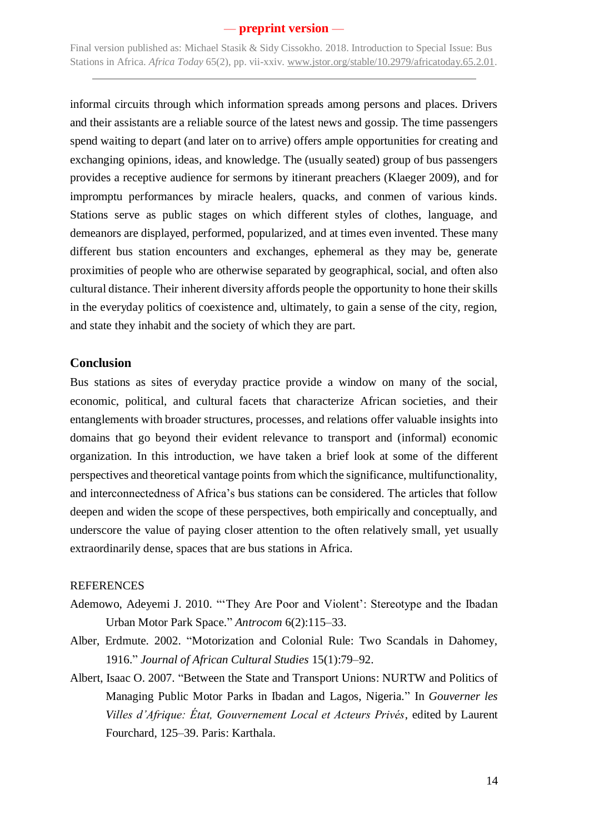Final version published as: Michael Stasik & Sidy Cissokho. 2018. Introduction to Special Issue: Bus Stations in Africa. *Africa Today* 65(2), pp. vii-xxiv. [www.jstor.org/stable/10.2979/africatoday.65.2.01.](http://www.jstor.org/stable/10.2979/africatoday.65.2.01)

informal circuits through which information spreads among persons and places. Drivers and their assistants are a reliable source of the latest news and gossip. The time passengers spend waiting to depart (and later on to arrive) offers ample opportunities for creating and exchanging opinions, ideas, and knowledge. The (usually seated) group of bus passengers provides a receptive audience for sermons by itinerant preachers (Klaeger 2009), and for impromptu performances by miracle healers, quacks, and conmen of various kinds. Stations serve as public stages on which different styles of clothes, language, and demeanors are displayed, performed, popularized, and at times even invented. These many different bus station encounters and exchanges, ephemeral as they may be, generate proximities of people who are otherwise separated by geographical, social, and often also cultural distance. Their inherent diversity affords people the opportunity to hone their skills in the everyday politics of coexistence and, ultimately, to gain a sense of the city, region, and state they inhabit and the society of which they are part.

### **Conclusion**

Bus stations as sites of everyday practice provide a window on many of the social, economic, political, and cultural facets that characterize African societies, and their entanglements with broader structures, processes, and relations offer valuable insights into domains that go beyond their evident relevance to transport and (informal) economic organization. In this introduction, we have taken a brief look at some of the different perspectives and theoretical vantage points from which the significance, multifunctionality, and interconnectedness of Africa's bus stations can be considered. The articles that follow deepen and widen the scope of these perspectives, both empirically and conceptually, and underscore the value of paying closer attention to the often relatively small, yet usually extraordinarily dense, spaces that are bus stations in Africa.

#### **REFERENCES**

- Ademowo, Adeyemi J. 2010. "'They Are Poor and Violent': Stereotype and the Ibadan Urban Motor Park Space." *Antrocom* 6(2):115–33.
- Alber, Erdmute. 2002. "Motorization and Colonial Rule: Two Scandals in Dahomey, 1916." *Journal of African Cultural Studies* 15(1):79–92.
- Albert, Isaac O. 2007. "Between the State and Transport Unions: NURTW and Politics of Managing Public Motor Parks in Ibadan and Lagos, Nigeria." In *Gouverner les Villes d'Afrique: État, Gouvernement Local et Acteurs Privés*, edited by Laurent Fourchard, 125–39. Paris: Karthala.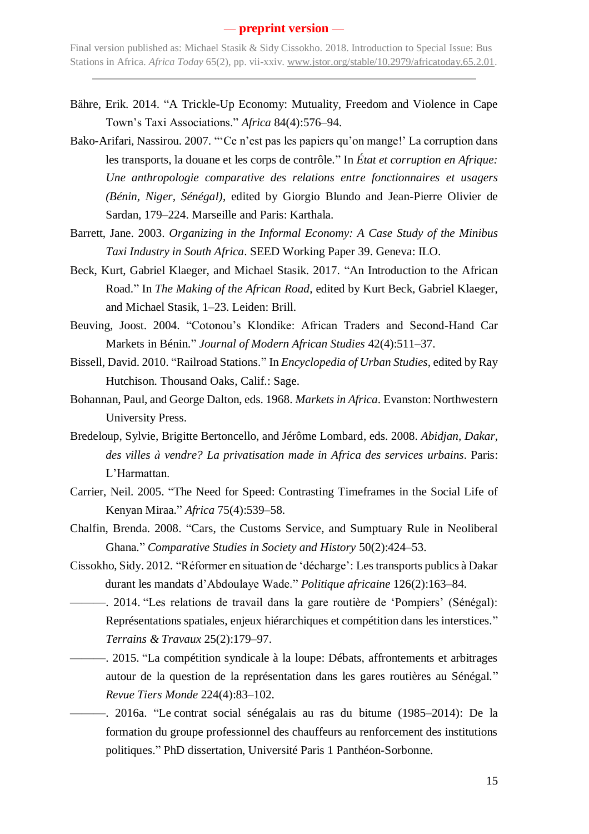- Bähre, Erik. 2014. "A Trickle-Up Economy: Mutuality, Freedom and Violence in Cape Town's Taxi Associations." *Africa* 84(4):576–94.
- Bako-Arifari, Nassirou. 2007. "'Ce n'est pas les papiers qu'on mange!' La corruption dans les transports, la douane et les corps de contrôle." In *État et corruption en Afrique: Une anthropologie comparative des relations entre fonctionnaires et usagers (Bénin, Niger, Sénégal)*, edited by Giorgio Blundo and Jean-Pierre Olivier de Sardan, 179–224. Marseille and Paris: Karthala.
- Barrett, Jane. 2003. *Organizing in the Informal Economy: A Case Study of the Minibus Taxi Industry in South Africa*. SEED Working Paper 39. Geneva: ILO.
- Beck, Kurt, Gabriel Klaeger, and Michael Stasik. 2017. "An Introduction to the African Road." In *The Making of the African Road*, edited by Kurt Beck, Gabriel Klaeger, and Michael Stasik, 1–23. Leiden: Brill.
- Beuving, Joost. 2004. "Cotonou's Klondike: African Traders and Second-Hand Car Markets in Bénin." *Journal of Modern African Studies* 42(4):511–37.
- Bissell, David. 2010. "Railroad Stations." In *Encyclopedia of Urban Studies*, edited by Ray Hutchison. Thousand Oaks, Calif.: Sage.
- Bohannan, Paul, and George Dalton, eds. 1968. *Markets in Africa*. Evanston: Northwestern University Press.
- Bredeloup, Sylvie, Brigitte Bertoncello, and Jérôme Lombard, eds. 2008. *Abidjan, Dakar, des villes à vendre? La privatisation made in Africa des services urbains*. Paris: L'Harmattan.
- Carrier, Neil. 2005. "The Need for Speed: Contrasting Timeframes in the Social Life of Kenyan Miraa." *Africa* 75(4):539–58.
- Chalfin, Brenda. 2008. "Cars, the Customs Service, and Sumptuary Rule in Neoliberal Ghana." *Comparative Studies in Society and History* 50(2):424–53.
- Cissokho, Sidy. 2012. "Réformer en situation de 'décharge': Les transports publics à Dakar durant les mandats d'Abdoulaye Wade." *Politique africaine* 126(2):163–84.
- ———. 2014. "Les relations de travail dans la gare routière de 'Pompiers' (Sénégal): Représentations spatiales, enjeux hiérarchiques et compétition dans les interstices." *Terrains & Travaux* 25(2):179–97.
	- ———. 2015. "La compétition syndicale à la loupe: Débats, affrontements et arbitrages autour de la question de la représentation dans les gares routières au Sénégal." *Revue Tiers Monde* 224(4):83–102.
- ———. 2016a. "Le contrat social sénégalais au ras du bitume (1985–2014): De la formation du groupe professionnel des chauffeurs au renforcement des institutions politiques." PhD dissertation, Université Paris 1 Panthéon-Sorbonne.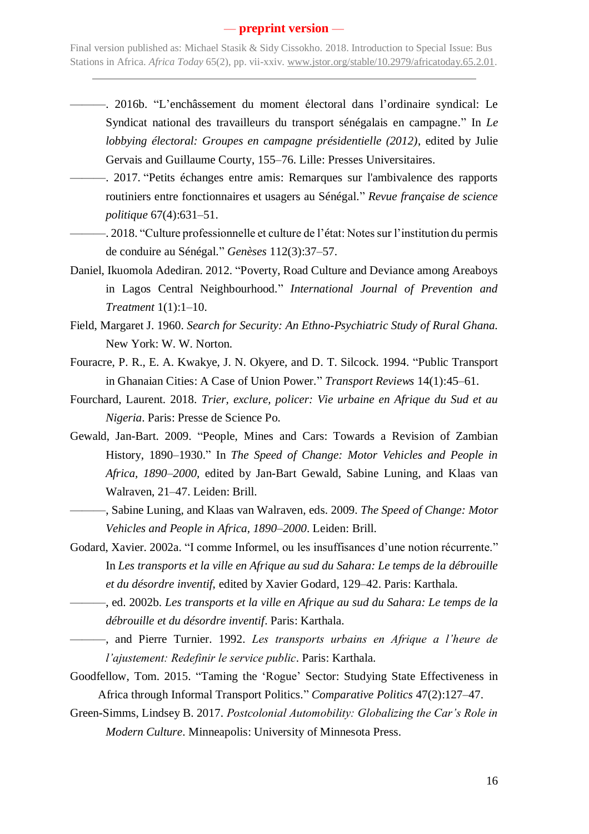- ———. 2016b. "L'enchâssement du moment électoral dans l'ordinaire syndical: Le Syndicat national des travailleurs du transport sénégalais en campagne." In *Le lobbying électoral: Groupes en campagne présidentielle (2012)*, edited by Julie Gervais and Guillaume Courty, 155–76. Lille: Presses Universitaires.
- ———. 2017. "Petits échanges entre amis: Remarques sur l'ambivalence des rapports routiniers entre fonctionnaires et usagers au Sénégal." *Revue française de science politique* 67(4):631–51.
- ———. 2018. "Culture professionnelle et culture de l'état: Notes sur l'institution du permis de conduire au Sénégal." *Genèses* 112(3):37–57.
- Daniel, Ikuomola Adediran. 2012. "Poverty, Road Culture and Deviance among Areaboys in Lagos Central Neighbourhood." *International Journal of Prevention and Treatment* 1(1):1–10.
- Field, Margaret J. 1960. *Search for Security: An Ethno-Psychiatric Study of Rural Ghana.* New York: W. W. Norton.
- Fouracre, P. R., E. A. Kwakye, J. N. Okyere, and D. T. Silcock. 1994. "Public Transport in Ghanaian Cities: A Case of Union Power." *Transport Reviews* 14(1):45–61.
- Fourchard, Laurent. 2018. *Trier, exclure, policer: Vie urbaine en Afrique du Sud et au Nigeria*. Paris: Presse de Science Po.
- Gewald, Jan-Bart. 2009. "People, Mines and Cars: Towards a Revision of Zambian History, 1890–1930." In *The Speed of Change: Motor Vehicles and People in Africa, 1890–2000,* edited by Jan-Bart Gewald, Sabine Luning, and Klaas van Walraven, 21–47. Leiden: Brill.
- ———, Sabine Luning, and Klaas van Walraven, eds. 2009. *The Speed of Change: Motor Vehicles and People in Africa, 1890–2000*. Leiden: Brill.
- Godard, Xavier. 2002a. "I comme Informel, ou les insuffisances d'une notion récurrente." In *Les transports et la ville en Afrique au sud du Sahara: Le temps de la débrouille et du désordre inventif*, edited by Xavier Godard, 129–42. Paris: Karthala.
- ———, ed. 2002b. *Les transports et la ville en Afrique au sud du Sahara: Le temps de la débrouille et du désordre inventif*. Paris: Karthala.
- ———, and Pierre Turnier. 1992. *Les transports urbains en Afrique a l'heure de l'ajustement: Redefinir le service public*. Paris: Karthala.
- Goodfellow, Tom. 2015. "Taming the 'Rogue' Sector: Studying State Effectiveness in Africa through Informal Transport Politics." *Comparative Politics* 47(2):127–47.
- Green-Simms, Lindsey B. 2017. *Postcolonial Automobility: Globalizing the Car's Role in Modern Culture*. Minneapolis: University of Minnesota Press.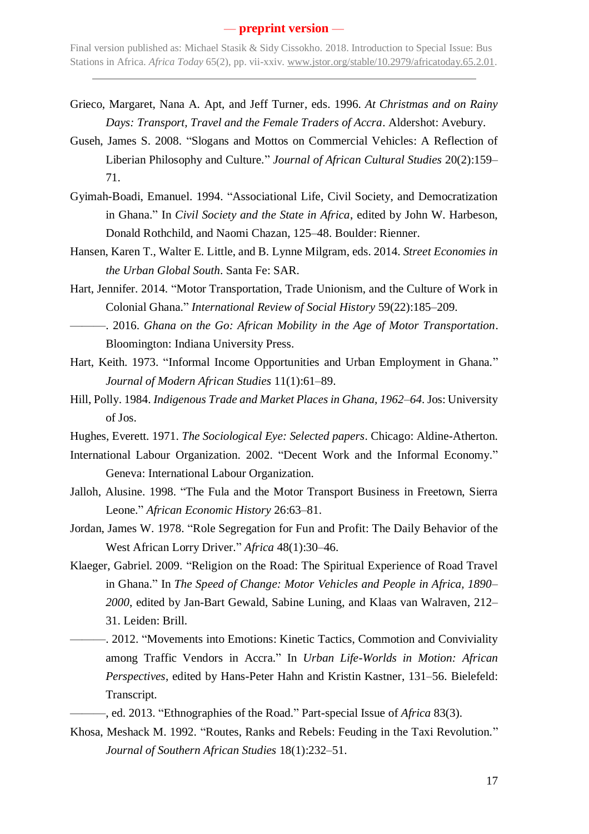- Grieco, Margaret, Nana A. Apt, and Jeff Turner, eds. 1996. *At Christmas and on Rainy Days: Transport, Travel and the Female Traders of Accra*. Aldershot: Avebury.
- Guseh, James S. 2008. "Slogans and Mottos on Commercial Vehicles: A Reflection of Liberian Philosophy and Culture." *Journal of African Cultural Studies* 20(2):159– 71.
- Gyimah-Boadi, Emanuel. 1994. "Associational Life, Civil Society, and Democratization in Ghana." In *Civil Society and the State in Africa*, edited by John W. Harbeson, Donald Rothchild, and Naomi Chazan, 125–48. Boulder: Rienner.
- Hansen, Karen T., Walter E. Little, and B. Lynne Milgram, eds. 2014. *Street Economies in the Urban Global South*. Santa Fe: SAR.
- Hart, Jennifer. 2014. "Motor Transportation, Trade Unionism, and the Culture of Work in Colonial Ghana." *International Review of Social History* 59(22):185–209.
- ———. 2016. *Ghana on the Go: African Mobility in the Age of Motor Transportation*. Bloomington: Indiana University Press.
- Hart, Keith. 1973. "Informal Income Opportunities and Urban Employment in Ghana." *Journal of Modern African Studies* 11(1):61–89.
- Hill, Polly. 1984. *Indigenous Trade and Market Places in Ghana, 1962–64*. Jos: University of Jos.
- Hughes, Everett. 1971. *The Sociological Eye: Selected papers*. Chicago: Aldine-Atherton.
- International Labour Organization. 2002. "Decent Work and the Informal Economy." Geneva: International Labour Organization.
- Jalloh, Alusine. 1998. "The Fula and the Motor Transport Business in Freetown, Sierra Leone." *African Economic History* 26:63–81.
- Jordan, James W. 1978. "Role Segregation for Fun and Profit: The Daily Behavior of the West African Lorry Driver." *Africa* 48(1):30–46.
- Klaeger, Gabriel. 2009. "Religion on the Road: The Spiritual Experience of Road Travel in Ghana." In *The Speed of Change: Motor Vehicles and People in Africa, 1890– 2000*, edited by Jan-Bart Gewald, Sabine Luning, and Klaas van Walraven, 212– 31. Leiden: Brill.
	- ———. 2012. "Movements into Emotions: Kinetic Tactics, Commotion and Conviviality among Traffic Vendors in Accra." In *Urban Life-Worlds in Motion: African Perspectives*, edited by Hans-Peter Hahn and Kristin Kastner, 131–56. Bielefeld: Transcript.
	- ———, ed. 2013. "Ethnographies of the Road." Part-special Issue of *Africa* 83(3).
- Khosa, Meshack M. 1992. "Routes, Ranks and Rebels: Feuding in the Taxi Revolution." *Journal of Southern African Studies* 18(1):232–51.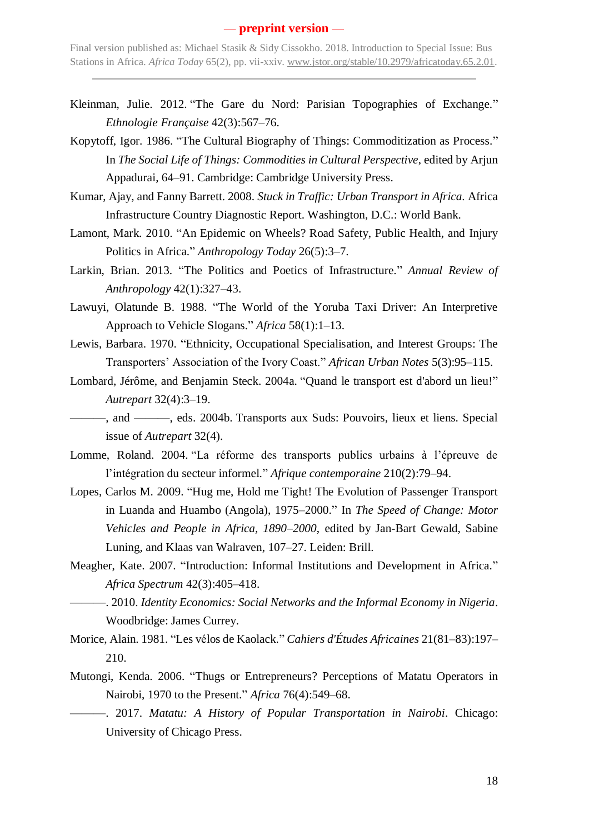- Kleinman, Julie. 2012. "The Gare du Nord: Parisian Topographies of Exchange." *Ethnologie Française* 42(3):567–76.
- Kopytoff, Igor. 1986. "The Cultural Biography of Things: Commoditization as Process." In *The Social Life of Things: Commodities in Cultural Perspective*, edited by Arjun Appadurai, 64–91. Cambridge: Cambridge University Press.
- Kumar, Ajay, and Fanny Barrett. 2008. *Stuck in Traffic: Urban Transport in Africa.* Africa Infrastructure Country Diagnostic Report. Washington, D.C.: World Bank.
- Lamont, Mark. 2010. "An Epidemic on Wheels? Road Safety, Public Health, and Injury Politics in Africa." *Anthropology Today* 26(5):3–7.
- Larkin, Brian. 2013. "The Politics and Poetics of Infrastructure." *Annual Review of Anthropology* 42(1):327–43.
- Lawuyi, Olatunde B. 1988. "The World of the Yoruba Taxi Driver: An Interpretive Approach to Vehicle Slogans." *Africa* 58(1):1–13.
- Lewis, Barbara. 1970. "Ethnicity, Occupational Specialisation, and Interest Groups: The Transporters' Association of the Ivory Coast." *African Urban Notes* 5(3):95–115.
- Lombard, Jérôme, and Benjamin Steck. 2004a. "Quand le transport est d'abord un lieu!" *Autrepart* 32(4):3–19.
- ———, and ———, eds. 2004b. Transports aux Suds: Pouvoirs, lieux et liens. Special issue of *Autrepart* 32(4).
- Lomme, Roland. 2004. "La réforme des transports publics urbains à l'épreuve de l'intégration du secteur informel." *Afrique contemporaine* 210(2):79–94.
- Lopes, Carlos M. 2009. "Hug me, Hold me Tight! The Evolution of Passenger Transport in Luanda and Huambo (Angola), 1975–2000." In *The Speed of Change: Motor Vehicles and People in Africa, 1890–2000*, edited by Jan-Bart Gewald, Sabine Luning, and Klaas van Walraven, 107–27. Leiden: Brill.
- Meagher, Kate. 2007. "Introduction: Informal Institutions and Development in Africa." *Africa Spectrum* 42(3):405–418.
	- ———. 2010. *Identity Economics: Social Networks and the Informal Economy in Nigeria*. Woodbridge: James Currey.
- Morice, Alain. 1981. "Les vélos de Kaolack." *Cahiers d'Études Africaines* 21(81–83):197– 210.
- Mutongi, Kenda. 2006. "Thugs or Entrepreneurs? Perceptions of Matatu Operators in Nairobi, 1970 to the Present." *Africa* 76(4):549–68.
- ———. 2017. *Matatu: A History of Popular Transportation in Nairobi*. Chicago: University of Chicago Press.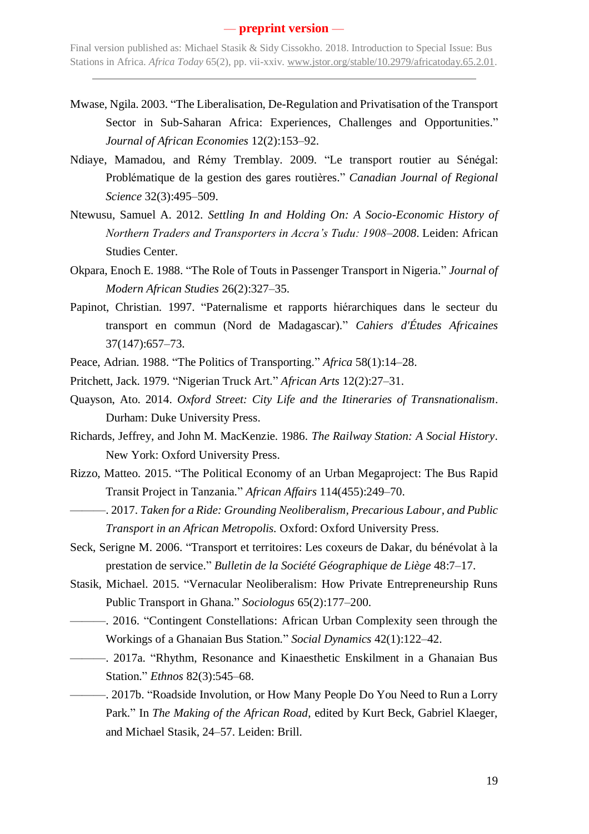- Mwase, Ngila. 2003. "The Liberalisation, De-Regulation and Privatisation of the Transport Sector in Sub-Saharan Africa: Experiences, Challenges and Opportunities." *Journal of African Economies* 12(2):153–92.
- Ndiaye, Mamadou, and Rémy Tremblay. 2009. "Le transport routier au Sénégal: Problématique de la gestion des gares routières." *Canadian Journal of Regional Science* 32(3):495–509.
- Ntewusu, Samuel A. 2012. *Settling In and Holding On: A Socio-Economic History of Northern Traders and Transporters in Accra's Tudu: 1908–2008*. Leiden: African Studies Center.
- Okpara, Enoch E. 1988. "The Role of Touts in Passenger Transport in Nigeria." *Journal of Modern African Studies* 26(2):327–35.
- Papinot, Christian. 1997. "Paternalisme et rapports hiérarchiques dans le secteur du transport en commun (Nord de Madagascar)." *Cahiers d'Études Africaines* 37(147):657–73.
- Peace, Adrian. 1988. "The Politics of Transporting." *Africa* 58(1):14–28.
- Pritchett, Jack. 1979. "Nigerian Truck Art." *African Arts* 12(2):27–31.
- Quayson, Ato. 2014. *Oxford Street: City Life and the Itineraries of Transnationalism*. Durham: Duke University Press.
- Richards, Jeffrey, and John M. MacKenzie. 1986. *The Railway Station: A Social History*. New York: Oxford University Press.
- Rizzo, Matteo. 2015. "The Political Economy of an Urban Megaproject: The Bus Rapid Transit Project in Tanzania." *African Affairs* 114(455):249–70.
	- ———. 2017. *Taken for a Ride: Grounding Neoliberalism, Precarious Labour, and Public Transport in an African Metropolis.* Oxford: Oxford University Press.
- Seck, Serigne M. 2006. "Transport et territoires: Les coxeurs de Dakar, du bénévolat à la prestation de service." *Bulletin de la Société Géographique de Liège* 48:7–17.
- Stasik, Michael. 2015. "Vernacular Neoliberalism: How Private Entrepreneurship Runs Public Transport in Ghana." *Sociologus* 65(2):177–200.
- ———. 2016. "Contingent Constellations: African Urban Complexity seen through the Workings of a Ghanaian Bus Station." *Social Dynamics* 42(1):122–42.
- ———. 2017a. "Rhythm, Resonance and Kinaesthetic Enskilment in a Ghanaian Bus Station." *Ethnos* 82(3):545–68.
- ———. 2017b. "Roadside Involution, or How Many People Do You Need to Run a Lorry Park." In *The Making of the African Road*, edited by Kurt Beck, Gabriel Klaeger, and Michael Stasik, 24–57. Leiden: Brill.